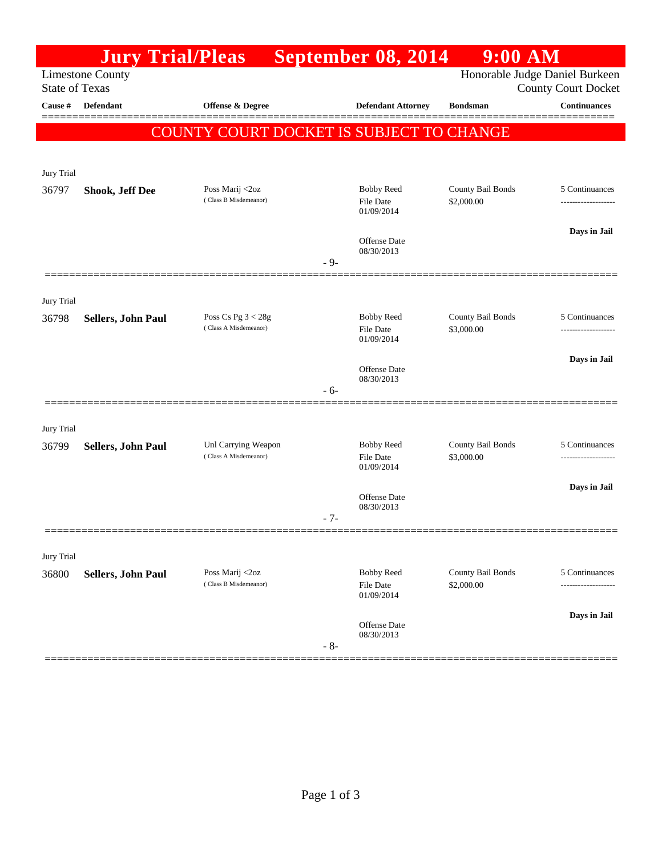|                       | <b>Jury Trial/Pleas</b> |                                               | September 08, 2014                                  | 9:00 AM                                                      |                     |
|-----------------------|-------------------------|-----------------------------------------------|-----------------------------------------------------|--------------------------------------------------------------|---------------------|
| <b>State of Texas</b> | <b>Limestone County</b> |                                               |                                                     | Honorable Judge Daniel Burkeen<br><b>County Court Docket</b> |                     |
| Cause #               | <b>Defendant</b>        | Offense & Degree                              | <b>Defendant Attorney</b>                           | <b>Bondsman</b>                                              | <b>Continuances</b> |
|                       |                         | COUNTY COURT DOCKET IS SUBJECT TO CHANGE      |                                                     |                                                              |                     |
| Jury Trial            |                         |                                               |                                                     |                                                              |                     |
| 36797                 | <b>Shook, Jeff Dee</b>  | Poss Marij <2oz<br>(Class B Misdemeanor)      | <b>Bobby Reed</b><br><b>File Date</b><br>01/09/2014 | County Bail Bonds<br>\$2,000.00                              | 5 Continuances<br>. |
|                       |                         |                                               | Offense Date<br>08/30/2013<br>$-9-$                 |                                                              | Days in Jail        |
| Jury Trial            |                         |                                               |                                                     |                                                              |                     |
| 36798                 | Sellers, John Paul      | Poss Cs Pg $3 < 28g$<br>(Class A Misdemeanor) | <b>Bobby Reed</b><br><b>File Date</b><br>01/09/2014 | County Bail Bonds<br>\$3,000.00                              | 5 Continuances      |
|                       |                         |                                               | Offense Date<br>08/30/2013                          |                                                              | Days in Jail        |
|                       |                         |                                               | $-6-$                                               |                                                              |                     |
| Jury Trial            |                         |                                               |                                                     |                                                              |                     |
| 36799                 | Sellers, John Paul      | Unl Carrying Weapon<br>(Class A Misdemeanor)  | <b>Bobby Reed</b><br><b>File Date</b><br>01/09/2014 | County Bail Bonds<br>\$3,000.00                              | 5 Continuances      |
|                       |                         |                                               | Offense Date<br>08/30/2013<br>$-7-$                 |                                                              | Days in Jail        |
|                       |                         |                                               |                                                     |                                                              |                     |
| Jury Trial<br>36800   | Sellers, John Paul      | Poss Marij <2oz<br>(Class B Misdemeanor)      | <b>Bobby Reed</b><br>File Date<br>01/09/2014        | County Bail Bonds<br>\$2,000.00                              | 5 Continuances      |
|                       |                         |                                               | Offense Date<br>08/30/2013<br>$-8-$                 |                                                              | Days in Jail        |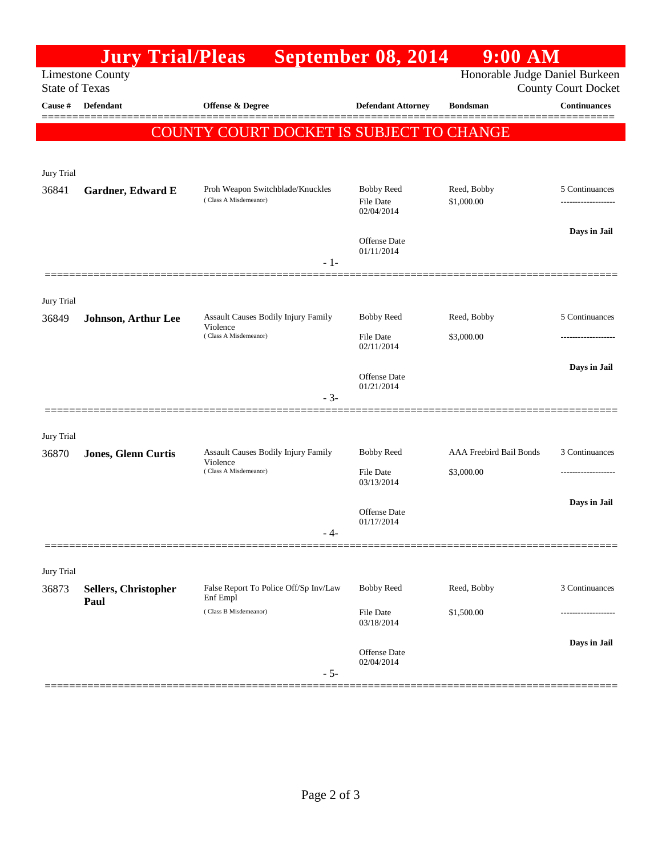|                       | <b>Jury Trial/Pleas</b>     |                                                                          | September 08, 2014                    | $9:00$ AM                             |                                                   |
|-----------------------|-----------------------------|--------------------------------------------------------------------------|---------------------------------------|---------------------------------------|---------------------------------------------------|
| <b>State of Texas</b> | <b>Limestone County</b>     |                                                                          |                                       | Honorable Judge Daniel Burkeen        |                                                   |
| Cause $\#$            | <b>Defendant</b>            | <b>Offense &amp; Degree</b>                                              | <b>Defendant Attorney</b>             | <b>Bondsman</b>                       | <b>County Court Docket</b><br><b>Continuances</b> |
|                       |                             |                                                                          |                                       |                                       |                                                   |
|                       |                             | COUNTY COURT DOCKET IS SUBJECT TO CHANGE                                 |                                       |                                       |                                                   |
|                       |                             |                                                                          |                                       |                                       |                                                   |
| Jury Trial<br>36841   | Gardner, Edward E           | Proh Weapon Switchblade/Knuckles                                         | <b>Bobby Reed</b>                     | Reed, Bobby                           | 5 Continuances                                    |
|                       |                             | (Class A Misdemeanor)                                                    | <b>File Date</b><br>02/04/2014        | \$1,000.00                            |                                                   |
|                       |                             |                                                                          |                                       |                                       | Days in Jail                                      |
|                       |                             |                                                                          | <b>Offense</b> Date<br>01/11/2014     |                                       |                                                   |
|                       |                             | $-1-$                                                                    |                                       |                                       |                                                   |
|                       |                             |                                                                          |                                       |                                       |                                                   |
| Jury Trial<br>36849   | Johnson, Arthur Lee         | Assault Causes Bodily Injury Family                                      | <b>Bobby Reed</b>                     | Reed, Bobby                           | 5 Continuances                                    |
|                       |                             | Violence<br>(Class A Misdemeanor)                                        | File Date                             | \$3,000.00                            |                                                   |
|                       |                             |                                                                          | 02/11/2014                            |                                       |                                                   |
|                       |                             |                                                                          | Offense Date                          |                                       | Days in Jail                                      |
|                       |                             | $-3-$                                                                    | 01/21/2014                            |                                       |                                                   |
|                       |                             |                                                                          |                                       |                                       |                                                   |
| Jury Trial            |                             |                                                                          |                                       |                                       |                                                   |
| 36870                 | Jones, Glenn Curtis         | Assault Causes Bodily Injury Family<br>Violence<br>(Class A Misdemeanor) | <b>Bobby Reed</b><br><b>File Date</b> | AAA Freebird Bail Bonds<br>\$3,000.00 | 3 Continuances                                    |
|                       |                             |                                                                          | 03/13/2014                            |                                       |                                                   |
|                       |                             |                                                                          | Offense Date                          |                                       | Days in Jail                                      |
|                       |                             |                                                                          | 01/17/2014                            |                                       |                                                   |
|                       |                             |                                                                          |                                       |                                       |                                                   |
| Jury Trial            |                             |                                                                          |                                       |                                       |                                                   |
| 36873                 | <b>Sellers, Christopher</b> | False Report To Police Off/Sp Inv/Law<br>Enf Empl                        | <b>Bobby Reed</b>                     | Reed, Bobby                           | 3 Continuances                                    |
|                       | Paul                        | (Class B Misdemeanor)                                                    | File Date                             | \$1,500.00                            |                                                   |
|                       |                             |                                                                          | 03/18/2014                            |                                       | Days in Jail                                      |
|                       |                             |                                                                          | Offense Date<br>02/04/2014            |                                       |                                                   |
|                       |                             | $-5-$                                                                    |                                       |                                       |                                                   |